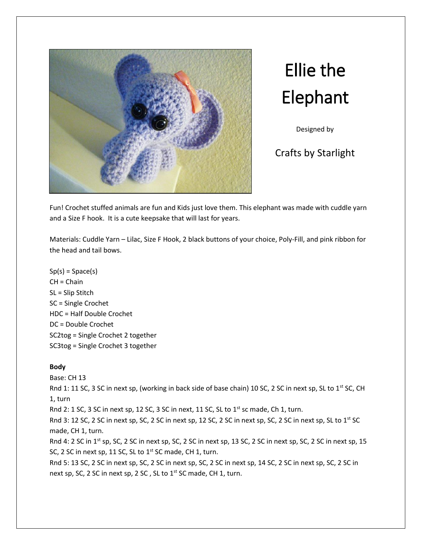

Ellie the Elephant

Designed by

# Crafts by Starlight

Fun! Crochet stuffed animals are fun and Kids just love them. This elephant was made with cuddle yarn and a Size F hook. It is a cute keepsake that will last for years.

Materials: Cuddle Yarn – Lilac, Size F Hook, 2 black buttons of your choice, Poly-Fill, and pink ribbon for the head and tail bows.

 $Sp(s) = Space(s)$  $CH = Chain$ SL = Slip Stitch SC = Single Crochet HDC = Half Double Crochet DC = Double Crochet SC2tog = Single Crochet 2 together SC3tog = Single Crochet 3 together

## **Body**

Base: CH 13

Rnd 1: 11 SC, 3 SC in next sp, (working in back side of base chain) 10 SC, 2 SC in next sp, SL to 1<sup>st</sup> SC, CH 1, turn

Rnd 2: 1 SC, 3 SC in next sp, 12 SC, 3 SC in next, 11 SC, SL to 1<sup>st</sup> sc made, Ch 1, turn.

Rnd 3: 12 SC, 2 SC in next sp, SC, 2 SC in next sp, 12 SC, 2 SC in next sp, SC, 2 SC in next sp, SL to 1<sup>st</sup> SC made, CH 1, turn.

Rnd 4: 2 SC in 1<sup>st</sup> sp, SC, 2 SC in next sp, SC, 2 SC in next sp, 13 SC, 2 SC in next sp, SC, 2 SC in next sp, 15 SC, 2 SC in next sp, 11 SC, SL to 1<sup>st</sup> SC made, CH 1, turn.

Rnd 5: 13 SC, 2 SC in next sp, SC, 2 SC in next sp, SC, 2 SC in next sp, 14 SC, 2 SC in next sp, SC, 2 SC in next sp, SC, 2 SC in next sp, 2 SC, SL to 1<sup>st</sup> SC made, CH 1, turn.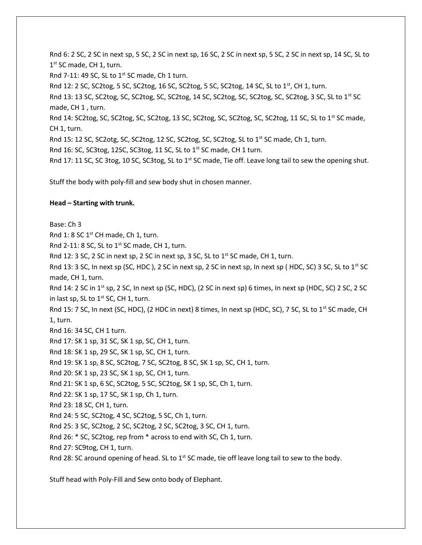Rnd 6: 2 SC, 2 SC in next sp, 5 SC, 2 SC in next sp, 16 SC, 2 SC in next sp, 5 SC, 2 SC in next sp, 14 SC, SL to 1<sup>st</sup> SC made, CH 1, turn. Rnd 7-11: 49 SC, SL to  $1<sup>st</sup>$  SC made, Ch 1 turn. Rnd 12: 2 SC, SC2tog, 5 SC, SC2tog, 16 SC, SC2tog, 5 SC, SC2tog, 14 SC, SL to  $1<sup>st</sup>$ , CH 1, turn. Rnd 13: 13 SC, SC2tog, SC, SC2tog, SC, SC2tog, 14 SC, SC2tog, SC, SC2tog, SC, SC2tog, 3 SC, SL to 1<sup>st</sup> SC made, CH 1 , turn. Rnd 14: SC2tog, SC, SC2tog, SC, SC2tog, 13 SC, SC2tog, SC, SC2tog, SC, SC2tog, 11 SC, SL to 1<sup>st</sup> SC made, CH 1, turn. Rnd 15: 12 SC, SC2otg, SC, SC2tog, 12 SC, SC2tog, SC, SC2tog, SL to 1<sup>st</sup> SC made, Ch 1, turn. Rnd 16: SC, SC3tog, 12SC, SC3tog, 11 SC, SL to 1<sup>st</sup> SC made, CH 1 turn. Rnd 17: 11 SC, SC 3tog, 10 SC, SC3tog, SL to 1<sup>st</sup> SC made, Tie off. Leave long tail to sew the opening shut.

Stuff the body with poly-fill and sew body shut in chosen manner.

## **Head – Starting with trunk.**

Base: Ch 3 Rnd 1: 8 SC  $1^{st}$  CH made, Ch 1, turn. Rnd 2-11: 8 SC, SL to 1<sup>st</sup> SC made, CH 1, turn. Rnd 12: 3 SC, 2 SC in next sp, 2 SC in next sp, 3 SC, SL to  $1<sup>st</sup>$  SC made, CH 1, turn. Rnd 13: 3 SC, In next sp (SC, HDC), 2 SC in next sp, 2 SC in next sp, In next sp (HDC, SC) 3 SC, SL to  $1^{st}$  SC made, CH 1, turn. Rnd 14: 2 SC in 1<sup>st</sup> sp, 2 SC, In next sp (SC, HDC), (2 SC in next sp) 6 times, In next sp (HDC, SC) 2 SC, 2 SC in last sp, SL to  $1^{st}$  SC, CH 1, turn. Rnd 15: 7 SC, In next (SC, HDC), (2 HDC in next) 8 times, In next sp (HDC, SC), 7 SC, SL to 1<sup>st</sup> SC made, CH 1, turn. Rnd 16: 34 SC, CH 1 turn. Rnd 17: SK 1 sp, 31 SC, SK 1 sp, SC, CH 1, turn. Rnd 18: SK 1 sp, 29 SC, SK 1 sp, SC, CH 1, turn. Rnd 19: SK 1 sp, 8 SC, SC2tog, 7 SC, SC2tog, 8 SC, SK 1 sp, SC, CH 1, turn. Rnd 20: SK 1 sp, 23 SC, SK 1 sp, SC, CH 1, turn. Rnd 21: SK 1 sp, 6 SC, SC2tog, 5 SC, SC2tog, SK 1 sp, SC, Ch 1, turn. Rnd 22: SK 1 sp, 17 SC, SK 1 sp, Ch 1, turn. Rnd 23: 18 SC, CH 1, turn. Rnd 24: 5 SC, SC2tog, 4 SC, SC2tog, 5 SC, Ch 1, turn. Rnd 25: 3 SC, SC2tog, 2 SC, SC2tog, 2 SC, SC2tog, 3 SC, CH 1, turn. Rnd 26: \* SC, SC2tog, rep from \* across to end with SC, Ch 1, turn. Rnd 27: SC9tog, CH 1, turn. Rnd 28: SC around opening of head. SL to  $1<sup>st</sup>$  SC made, tie off leave long tail to sew to the body.

Stuff head with Poly-Fill and Sew onto body of Elephant.